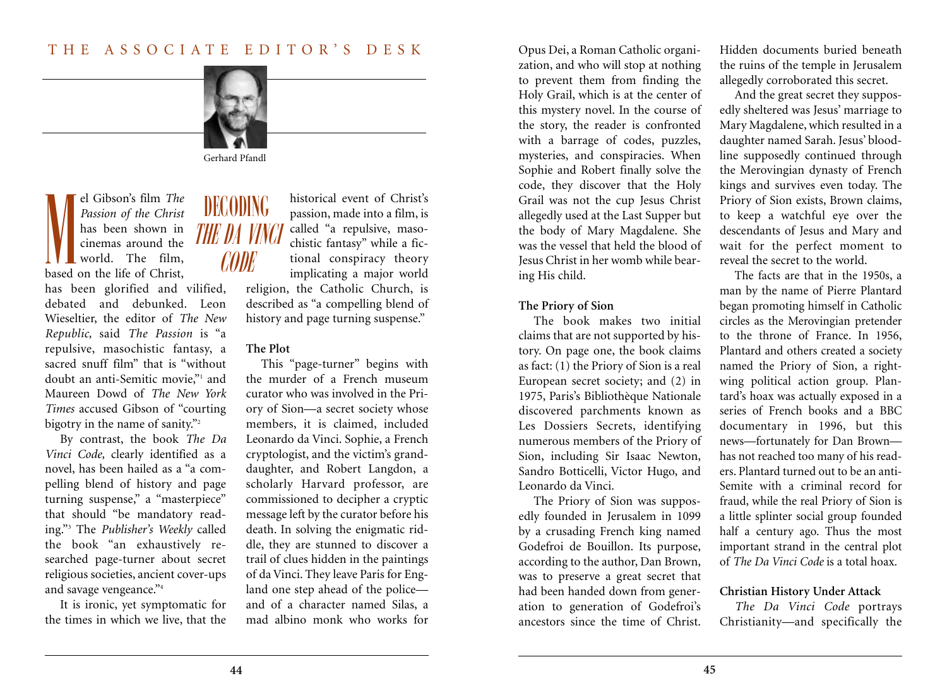# THE ASSOCIATE EDITOR'S DESK



Gerhard Pfandl

el Gibson's film *The Passion of the Christ* has been shown in cinemas around the world. The film, based on the life of Christ, M

has been glorified and vilified, debated and debunked. Leon Wieseltier, the editor of *The New Republic,* said *The Passion* is "a repulsive, masochistic fantasy, a sacred snuff film" that is "without doubt an anti-Semitic movie,"1 and Maureen Dowd of *The New York Times* accused Gibson of "courting bigotry in the name of sanity."<sup>2</sup>

By contrast, the book *The Da Vinci Code,* clearly identified as a novel, has been hailed as a "a compelling blend of history and page turning suspense," a "masterpiece" that should "be mandatory reading."3 The *Publisher's Weekly* called the book "an exhaustively researched page-turner about secret religious societies, ancient cover-ups and savage vengeance."4

It is ironic, yet symptomatic for the times in which we live, that the

# DECODING THE DA VINCI **CODE**

historical event of Christ's passion, made into a film, is called "a repulsive, masochistic fantasy" while a fictional conspiracy theory implicating a major world

religion, the Catholic Church, is described as "a compelling blend of history and page turning suspense."

# **The Plot**

This "page-turner" begins with the murder of a French museum curator who was involved in the Priory of Sion—a secret society whose members, it is claimed, included Leonardo da Vinci. Sophie, a French cryptologist, and the victim's granddaughter, and Robert Langdon, a scholarly Harvard professor, are commissioned to decipher a cryptic message left by the curator before his death. In solving the enigmatic riddle, they are stunned to discover a trail of clues hidden in the paintings of da Vinci. They leave Paris for England one step ahead of the police and of a character named Silas, a mad albino monk who works for Opus Dei, a Roman Catholic organization, and who will stop at nothing to prevent them from finding the Holy Grail, which is at the center of this mystery novel. In the course of the story, the reader is confronted with a barrage of codes, puzzles, mysteries, and conspiracies. When Sophie and Robert finally solve the code, they discover that the Holy Grail was not the cup Jesus Christ allegedly used at the Last Supper but the body of Mary Magdalene. She was the vessel that held the blood of Jesus Christ in her womb while bearing His child.

## **The Priory of Sion**

The book makes two initial claims that are not supported by history. On page one, the book claims as fact: (1) the Priory of Sion is a real European secret society; and (2) in 1975, Paris's Bibliothèque Nationale discovered parchments known as Les Dossiers Secrets, identifying numerous members of the Priory of Sion, including Sir Isaac Newton, Sandro Botticelli, Victor Hugo, and Leonardo da Vinci.

The Priory of Sion was supposedly founded in Jerusalem in 1099 by a crusading French king named Godefroi de Bouillon. Its purpose, according to the author, Dan Brown, was to preserve a great secret that had been handed down from generation to generation of Godefroi's ancestors since the time of Christ.

Hidden documents buried beneath the ruins of the temple in Jerusalem allegedly corroborated this secret.

And the great secret they supposedly sheltered was Jesus' marriage to Mary Magdalene, which resulted in a daughter named Sarah. Jesus' bloodline supposedly continued through the Merovingian dynasty of French kings and survives even today. The Priory of Sion exists, Brown claims, to keep a watchful eye over the descendants of Jesus and Mary and wait for the perfect moment to reveal the secret to the world.

The facts are that in the 1950s, a man by the name of Pierre Plantard began promoting himself in Catholic circles as the Merovingian pretender to the throne of France. In 1956, Plantard and others created a society named the Priory of Sion, a rightwing political action group. Plantard's hoax was actually exposed in a series of French books and a BBC documentary in 1996, but this news—fortunately for Dan Brown has not reached too many of his readers. Plantard turned out to be an anti-Semite with a criminal record for fraud, while the real Priory of Sion is a little splinter social group founded half a century ago. Thus the most important strand in the central plot of *The Da Vinci Code* is a total hoax.

### **Christian History Under Attack**

*The Da Vinci Code* portrays Christianity—and specifically the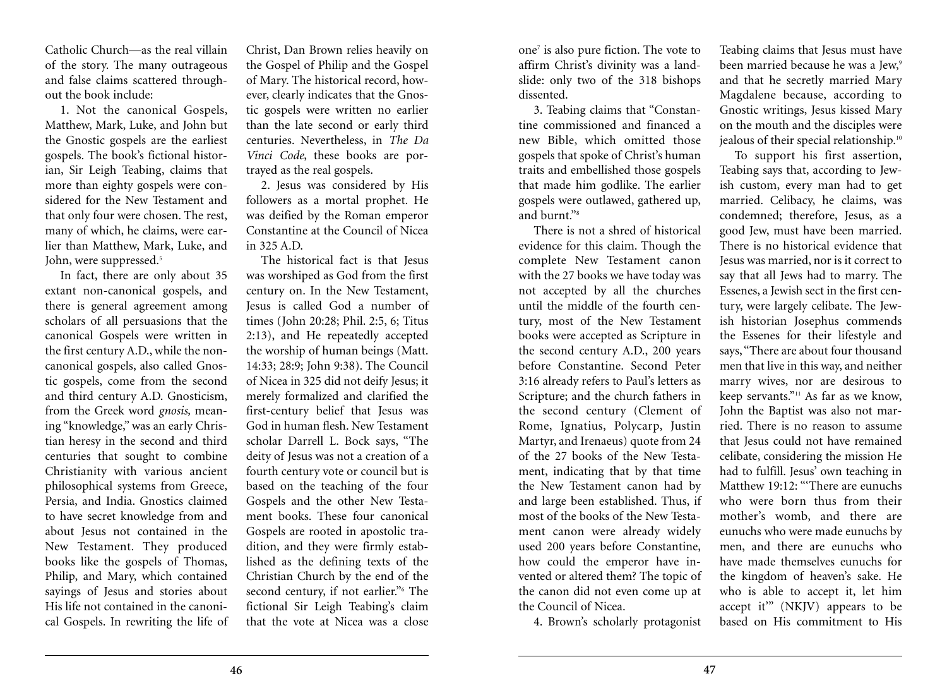Catholic Church—as the real villain of the story. The many outrageous and false claims scattered throughout the book include:

1. Not the canonical Gospels, Matthew, Mark, Luke, and John but the Gnostic gospels are the earliest gospels. The book's fictional historian, Sir Leigh Teabing, claims that more than eighty gospels were considered for the New Testament and that only four were chosen. The rest, many of which, he claims, were earlier than Matthew, Mark, Luke, and John, were suppressed.<sup>5</sup>

In fact, there are only about 35 extant non-canonical gospels, and there is general agreement among scholars of all persuasions that the canonical Gospels were written in the first century A.D., while the noncanonical gospels, also called Gnostic gospels, come from the second and third century A.D. Gnosticism, from the Greek word *gnosis,* meaning "knowledge," was an early Christian heresy in the second and third centuries that sought to combine Christianity with various ancient philosophical systems from Greece, Persia, and India. Gnostics claimed to have secret knowledge from and about Jesus not contained in the New Testament. They produced books like the gospels of Thomas, Philip, and Mary, which contained sayings of Jesus and stories about His life not contained in the canonical Gospels. In rewriting the life of

Christ, Dan Brown relies heavily on the Gospel of Philip and the Gospel of Mary. The historical record, however, clearly indicates that the Gnostic gospels were written no earlier than the late second or early third centuries. Nevertheless, in *The Da Vinci Code*, these books are portrayed as the real gospels.

2. Jesus was considered by His followers as a mortal prophet. He was deified by the Roman emperor Constantine at the Council of Nicea in  $325$  A.D.

The historical fact is that Jesus was worshiped as God from the first century on. In the New Testament, Jesus is called God a number of times (John 20:28; Phil. 2:5, 6; Titus 2:13), and He repeatedly accepted the worship of human beings (Matt. 14:33; 28:9; John 9:38). The Council of Nicea in 325 did not deify Jesus; it merely formalized and clarified the first-century belief that Jesus was God in human flesh. New Testament scholar Darrell L. Bock says, "The deity of Jesus was not a creation of a fourth century vote or council but is based on the teaching of the four Gospels and the other New Testament books. These four canonical Gospels are rooted in apostolic tradition, and they were firmly established as the defining texts of the Christian Church by the end of the second century, if not earlier."<sup>6</sup> The fictional Sir Leigh Teabing's claim that the vote at Nicea was a close

one7 is also pure fiction. The vote to affirm Christ's divinity was a landslide: only two of the 318 bishops dissented.

3. Teabing claims that "Constantine commissioned and financed a new Bible, which omitted those gospels that spoke of Christ's human traits and embellished those gospels that made him godlike. The earlier gospels were outlawed, gathered up, and burnt<sup>"8</sup>

There is not a shred of historical evidence for this claim. Though the complete New Testament canon with the 27 books we have today was not accepted by all the churches until the middle of the fourth century, most of the New Testament books were accepted as Scripture in the second century A.D., 200 years before Constantine. Second Peter 3:16 already refers to Paul's letters as Scripture; and the church fathers in the second century (Clement of Rome, Ignatius, Polycarp, Justin Martyr, and Irenaeus) quote from 24 of the 27 books of the New Testament, indicating that by that time the New Testament canon had by and large been established. Thus, if most of the books of the New Testament canon were already widely used 200 years before Constantine, how could the emperor have invented or altered them? The topic of the canon did not even come up at the Council of Nicea.

4. Brown's scholarly protagonist

Teabing claims that Jesus must have been married because he was a Jew.<sup>9</sup> and that he secretly married Mary Magdalene because, according to Gnostic writings, Jesus kissed Mary on the mouth and the disciples were jealous of their special relationship.<sup>10</sup>

To support his first assertion, Teabing says that, according to Jewish custom, every man had to get married. Celibacy, he claims, was condemned; therefore, Jesus, as a good Jew, must have been married. There is no historical evidence that Jesus was married, nor is it correct to say that all Jews had to marry. The Essenes, a Jewish sect in the first century, were largely celibate. The Jewish historian Josephus commends the Essenes for their lifestyle and says, "There are about four thousand men that live in this way, and neither marry wives, nor are desirous to keep servants."11 As far as we know, John the Baptist was also not married. There is no reason to assume that Jesus could not have remained celibate, considering the mission He had to fulfill. Jesus' own teaching in Matthew 19:12: "'There are eunuchs who were born thus from their mother's womb, and there are eunuchs who were made eunuchs by men, and there are eunuchs who have made themselves eunuchs for the kingdom of heaven's sake. He who is able to accept it, let him accept it'" (NKJV) appears to be based on His commitment to His